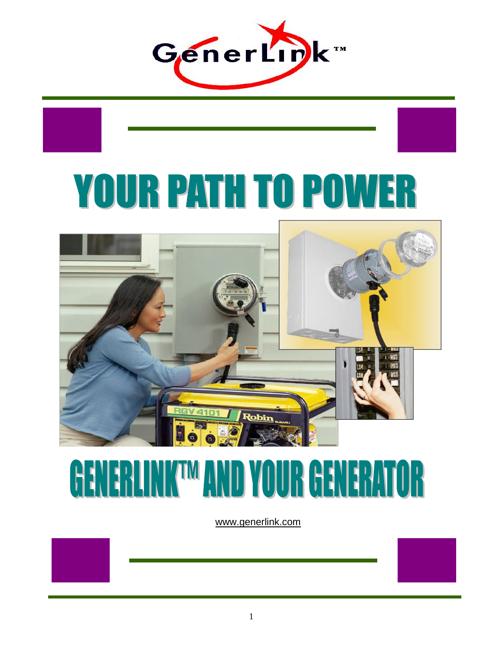

# **YOUR PATH TO POWER**



## **GENERLINKTM AND YOUR GENERATOR**

www.generlink.com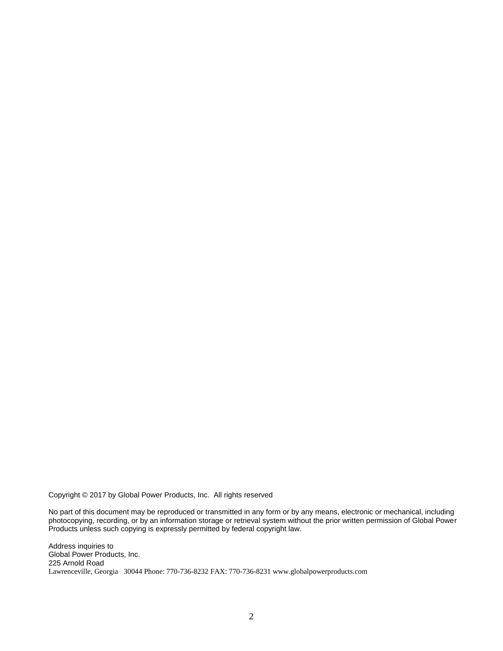Copyright © 2017 by Global Power Products, Inc. All rights reserved

No part of this document may be reproduced or transmitted in any form or by any means, electronic or mechanical, including photocopying, recording, or by an information storage or retrieval system without the prior written permission of Global Power Products unless such copying is expressly permitted by federal copyright law.

Address inquiries to Global Power Products, Inc. 225 Arnold Road Lawrenceville, Georgia 30044 Phone: 770-736-8232 FAX: 770-736-8231 www.globalpowerproducts.com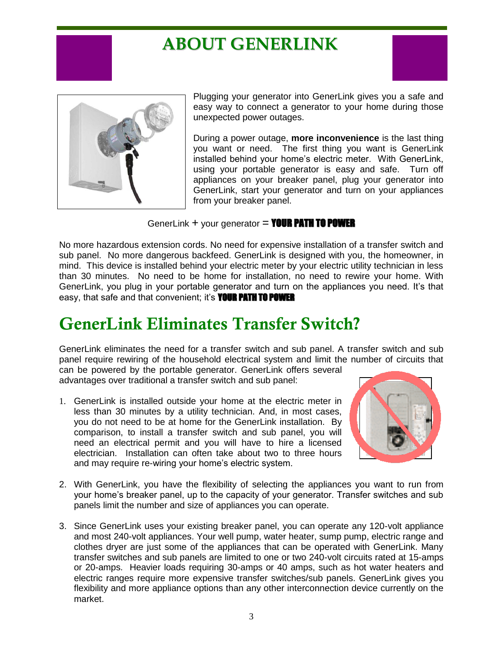## **ABOUT GENERLINK**



Plugging your generator into GenerLink gives you a safe and easy way to connect a generator to your home during those unexpected power outages.

During a power outage, **more inconvenience** is the last thing you want or need. The first thing you want is GenerLink installed behind your home's electric meter. With GenerLink, using your portable generator is easy and safe. Turn off appliances on your breaker panel, plug your generator into GenerLink, start your generator and turn on your appliances from your breaker panel.

GenerLink  $+$  your generator = **YOUR PATH TO POWER** 

No more hazardous extension cords. No need for expensive installation of a transfer switch and sub panel. No more dangerous backfeed. GenerLink is designed with you, the homeowner, in mind. This device is installed behind your electric meter by your electric utility technician in less than 30 minutes. No need to be home for installation, no need to rewire your home. With GenerLink, you plug in your portable generator and turn on the appliances you need. It's that easy, that safe and that convenient; it's **YOUR PATH TO POWER** 

## **GenerLink Eliminates Transfer Switch?**

GenerLink eliminates the need for a transfer switch and sub panel. A transfer switch and sub panel require rewiring of the household electrical system and limit the number of circuits that can be powered by the portable generator. GenerLink offers several

advantages over traditional a transfer switch and sub panel:

1. GenerLink is installed outside your home at the electric meter in less than 30 minutes by a utility technician. And, in most cases, you do not need to be at home for the GenerLink installation. By comparison, to install a transfer switch and sub panel, you will need an electrical permit and you will have to hire a licensed electrician. Installation can often take about two to three hours and may require re-wiring your home's electric system.



- 2. With GenerLink, you have the flexibility of selecting the appliances you want to run from your home's breaker panel, up to the capacity of your generator. Transfer switches and sub panels limit the number and size of appliances you can operate.
- 3. Since GenerLink uses your existing breaker panel, you can operate any 120-volt appliance and most 240-volt appliances. Your well pump, water heater, sump pump, electric range and clothes dryer are just some of the appliances that can be operated with GenerLink. Many transfer switches and sub panels are limited to one or two 240-volt circuits rated at 15-amps or 20-amps. Heavier loads requiring 30-amps or 40 amps, such as hot water heaters and electric ranges require more expensive transfer switches/sub panels. GenerLink gives you flexibility and more appliance options than any other interconnection device currently on the market.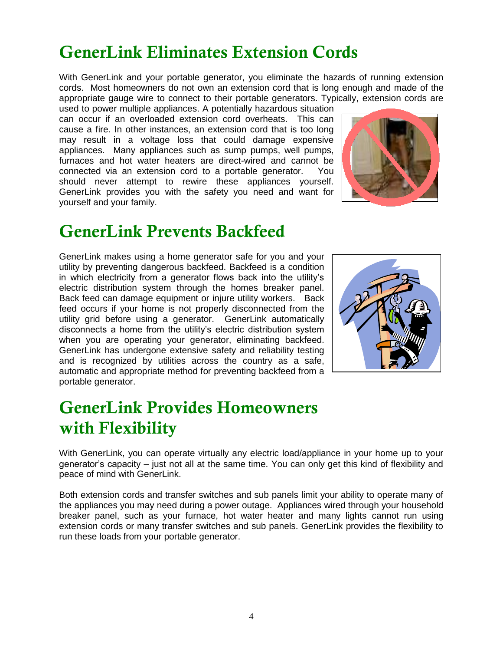## **GenerLink Eliminates Extension Cords**

With GenerLink and your portable generator, you eliminate the hazards of running extension cords. Most homeowners do not own an extension cord that is long enough and made of the appropriate gauge wire to connect to their portable generators. Typically, extension cords are used to power multiple appliances. A potentially hazardous situation

can occur if an overloaded extension cord overheats. This can cause a fire. In other instances, an extension cord that is too long may result in a voltage loss that could damage expensive appliances. Many appliances such as sump pumps, well pumps, furnaces and hot water heaters are direct-wired and cannot be connected via an extension cord to a portable generator. You should never attempt to rewire these appliances yourself. GenerLink provides you with the safety you need and want for yourself and your family.



## **GenerLink Prevents Backfeed**

GenerLink makes using a home generator safe for you and your utility by preventing dangerous backfeed. Backfeed is a condition in which electricity from a generator flows back into the utility's electric distribution system through the homes breaker panel. Back feed can damage equipment or injure utility workers. Back feed occurs if your home is not properly disconnected from the utility grid before using a generator. GenerLink automatically disconnects a home from the utility's electric distribution system when you are operating your generator, eliminating backfeed. GenerLink has undergone extensive safety and reliability testing and is recognized by utilities across the country as a safe, automatic and appropriate method for preventing backfeed from a portable generator.



## **GenerLink Provides Homeowners with Flexibility**

With GenerLink, you can operate virtually any electric load/appliance in your home up to your generator's capacity – just not all at the same time. You can only get this kind of flexibility and peace of mind with GenerLink.

Both extension cords and transfer switches and sub panels limit your ability to operate many of the appliances you may need during a power outage. Appliances wired through your household breaker panel, such as your furnace, hot water heater and many lights cannot run using extension cords or many transfer switches and sub panels. GenerLink provides the flexibility to run these loads from your portable generator.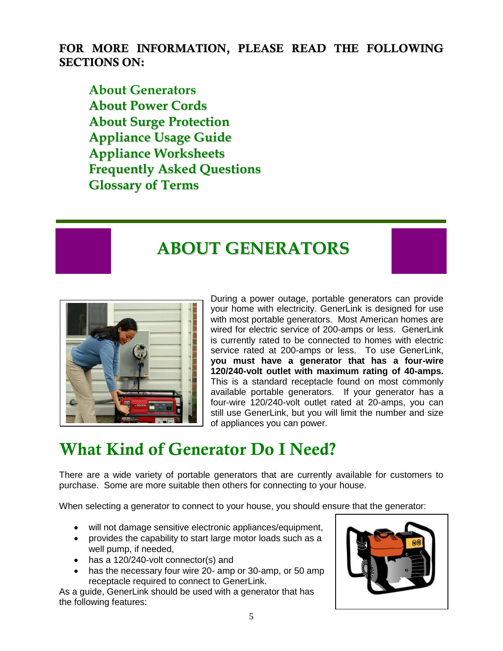**FOR MORE INFORMATION, PLEASE READ THE FOLLOWING SECTIONS ON:**

**About Generators About Power Cords About Surge Protection Appliance Usage Guide Appliance Worksheets Frequently Asked Questions Glossary of Terms**

## **ABOUT GENERATORS**



During a power outage, portable generators can provide your home with electricity. GenerLink is designed for use with most portable generators. Most American homes are wired for electric service of 200-amps or less. GenerLink is currently rated to be connected to homes with electric service rated at 200-amps or less. To use GenerLink, **you must have a generator that has a four-wire 120/240-volt outlet with maximum rating of 40-amps.** This is a standard receptacle found on most commonly available portable generators. If your generator has a four-wire 120/240-volt outlet rated at 20-amps, you can still use GenerLink, but you will limit the number and size of appliances you can power.

## **What Kind of Generator Do I Need?**

There are a wide variety of portable generators that are currently available for customers to purchase. Some are more suitable then others for connecting to your house.

When selecting a generator to connect to your house, you should ensure that the generator:

- will not damage sensitive electronic appliances/equipment,
- provides the capability to start large motor loads such as a well pump, if needed,
- has a 120/240-volt connector(s) and
- has the necessary four wire 20- amp or 30-amp, or 50 amp receptacle required to connect to GenerLink.

As a guide, GenerLink should be used with a generator that has the following features:

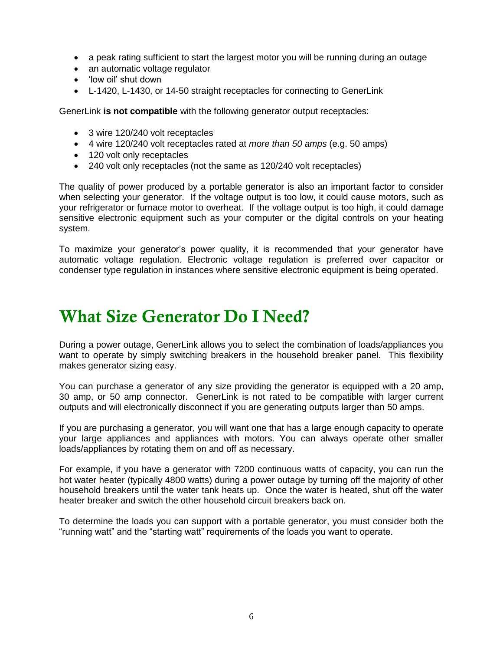- a peak rating sufficient to start the largest motor you will be running during an outage
- an automatic voltage regulator
- 'low oil' shut down
- L-1420, L-1430, or 14-50 straight receptacles for connecting to GenerLink

GenerLink **is not compatible** with the following generator output receptacles:

- 3 wire 120/240 volt receptacles
- 4 wire 120/240 volt receptacles rated at *more than 50 amps* (e.g. 50 amps)
- 120 volt only receptacles
- 240 volt only receptacles (not the same as 120/240 volt receptacles)

The quality of power produced by a portable generator is also an important factor to consider when selecting your generator. If the voltage output is too low, it could cause motors, such as your refrigerator or furnace motor to overheat. If the voltage output is too high, it could damage sensitive electronic equipment such as your computer or the digital controls on your heating system.

To maximize your generator's power quality, it is recommended that your generator have automatic voltage regulation. Electronic voltage regulation is preferred over capacitor or condenser type regulation in instances where sensitive electronic equipment is being operated.

## **What Size Generator Do I Need?**

During a power outage, GenerLink allows you to select the combination of loads/appliances you want to operate by simply switching breakers in the household breaker panel. This flexibility makes generator sizing easy.

You can purchase a generator of any size providing the generator is equipped with a 20 amp, 30 amp, or 50 amp connector. GenerLink is not rated to be compatible with larger current outputs and will electronically disconnect if you are generating outputs larger than 50 amps.

If you are purchasing a generator, you will want one that has a large enough capacity to operate your large appliances and appliances with motors. You can always operate other smaller loads/appliances by rotating them on and off as necessary.

For example, if you have a generator with 7200 continuous watts of capacity, you can run the hot water heater (typically 4800 watts) during a power outage by turning off the majority of other household breakers until the water tank heats up. Once the water is heated, shut off the water heater breaker and switch the other household circuit breakers back on.

To determine the loads you can support with a portable generator, you must consider both the "running watt" and the "starting watt" requirements of the loads you want to operate.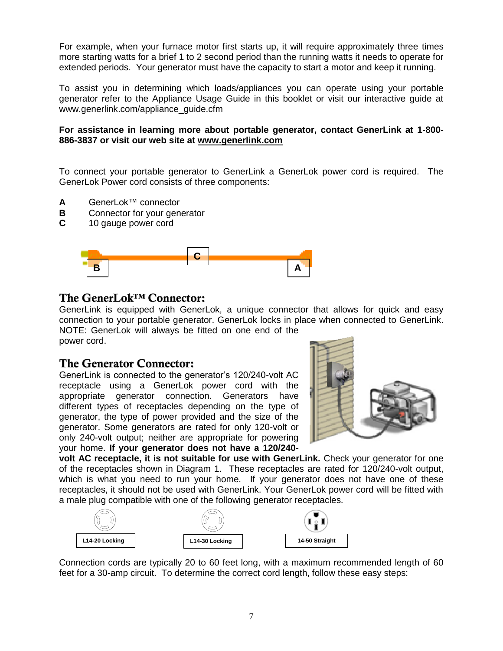For example, when your furnace motor first starts up, it will require approximately three times more starting watts for a brief 1 to 2 second period than the running watts it needs to operate for extended periods. Your generator must have the capacity to start a motor and keep it running.

To assist you in determining which loads/appliances you can operate using your portable generator refer to the Appliance Usage Guide in this booklet or visit our interactive guide at www.generlink.com/appliance\_guide.cfm

#### **For assistance in learning more about portable generator, contact GenerLink at 1-800- 886-3837 or visit our web site at www.generlink.com**

To connect your portable generator to GenerLink a GenerLok power cord is required. The GenerLok Power cord consists of three components:

- **A** GenerLok™ connector
- **B** Connector for your generator
- **C** 10 gauge power cord



#### **The GenerLok™ Connector:**

GenerLink is equipped with GenerLok, a unique connector that allows for quick and easy connection to your portable generator. GenerLok locks in place when connected to GenerLink. NOTE: GenerLok will always be fitted on one end of the power cord.

#### **The Generator Connector:**

GenerLink is connected to the generator's 120/240-volt AC receptacle using a GenerLok power cord with the appropriate generator connection. Generators have different types of receptacles depending on the type of generator, the type of power provided and the size of the generator. Some generators are rated for only 120-volt or only 240-volt output; neither are appropriate for powering your home. **If your generator does not have a 120/240-**



**volt AC receptacle, it is not suitable for use with GenerLink.** Check your generator for one of the receptacles shown in Diagram 1. These receptacles are rated for 120/240-volt output, which is what you need to run your home. If your generator does not have one of these receptacles, it should not be used with GenerLink. Your GenerLok power cord will be fitted with a male plug compatible with one of the following generator receptacles.



Connection cords are typically 20 to 60 feet long, with a maximum recommended length of 60 feet for a 30-amp circuit. To determine the correct cord length, follow these easy steps: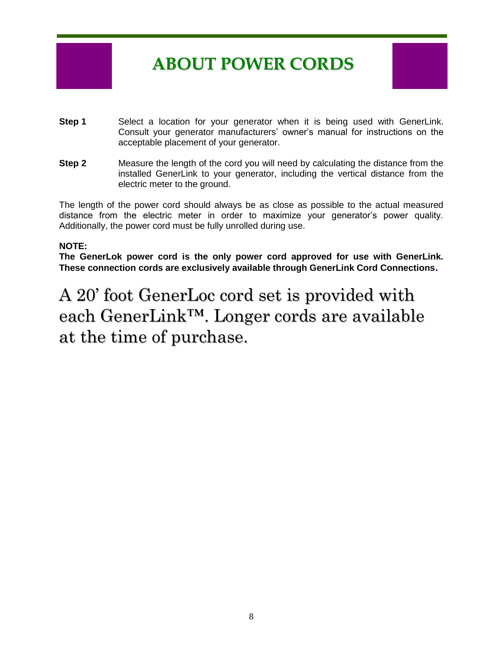## **ABOUT POWER CORDS**

- **Step 1** Select a location for your generator when it is being used with GenerLink. Consult your generator manufacturers' owner's manual for instructions on the acceptable placement of your generator.
- **Step 2** Measure the length of the cord you will need by calculating the distance from the installed GenerLink to your generator, including the vertical distance from the electric meter to the ground.

The length of the power cord should always be as close as possible to the actual measured distance from the electric meter in order to maximize your generator's power quality. Additionally, the power cord must be fully unrolled during use.

#### **NOTE:**

**The GenerLok power cord is the only power cord approved for use with GenerLink. These connection cords are exclusively available through GenerLink Cord Connections.**

A 20' foot GenerLoc cord set is provided with each GenerLink™. Longer cords are available at the time of purchase.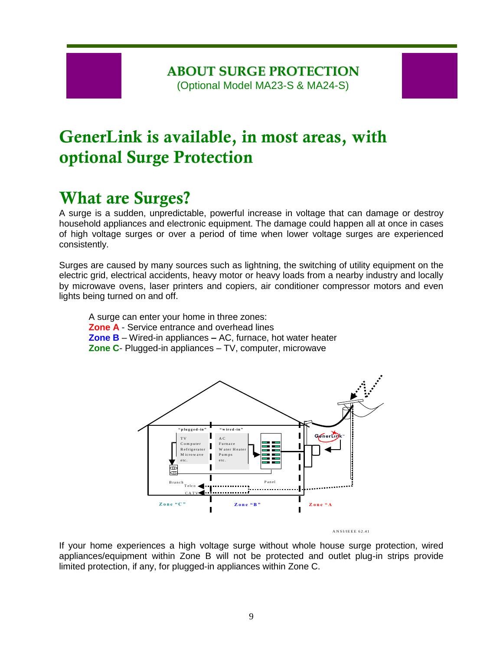#### **ABOUT SURGE PROTECTION** (Optional Model MA23-S & MA24-S)

## **GenerLink is available, in most areas, with optional Surge Protection**

## **What are Surges?**

A surge is a sudden, unpredictable, powerful increase in voltage that can damage or destroy household appliances and electronic equipment. The damage could happen all at once in cases of high voltage surges or over a period of time when lower voltage surges are experienced consistently.

Surges are caused by many sources such as lightning, the switching of utility equipment on the electric grid, electrical accidents, heavy motor or heavy loads from a nearby industry and locally by microwave ovens, laser printers and copiers, air conditioner compressor motors and even lights being turned on and off.

A surge can enter your home in three zones:

- **Zone A** Service entrance and overhead lines
- **Zone B** Wired-in appliances **–** AC, furnace, hot water heater
- **Zone C** Plugged-in appliances TV, computer, microwave



If your home experiences a high voltage surge without whole house surge protection, wired appliances/equipment within Zone B will not be protected and outlet plug-in strips provide limited protection, if any, for plugged-in appliances within Zone C.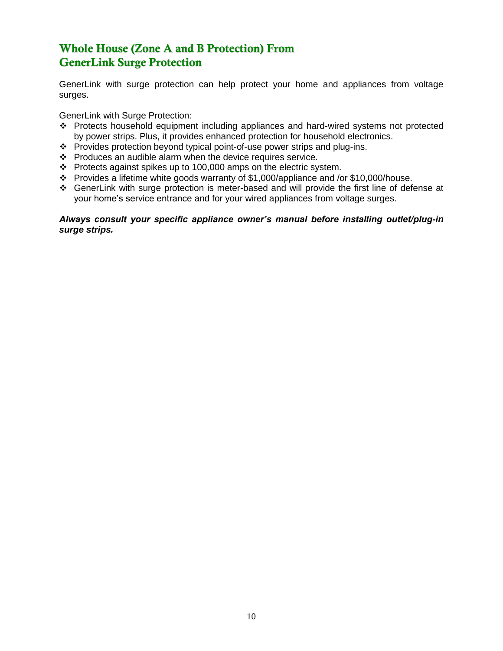#### **Whole House (Zone A and B Protection) From GenerLink Surge Protection**

GenerLink with surge protection can help protect your home and appliances from voltage surges.

GenerLink with Surge Protection:

- Protects household equipment including appliances and hard-wired systems not protected by power strips. Plus, it provides enhanced protection for household electronics.
- \* Provides protection beyond typical point-of-use power strips and plug-ins.
- $\div$  Produces an audible alarm when the device requires service.
- $\div$  Protects against spikes up to 100,000 amps on the electric system.
- Provides a lifetime white goods warranty of \$1,000/appliance and /or \$10,000/house.
- GenerLink with surge protection is meter-based and will provide the first line of defense at your home's service entrance and for your wired appliances from voltage surges.

#### *Always consult your specific appliance owner's manual before installing outlet/plug-in surge strips.*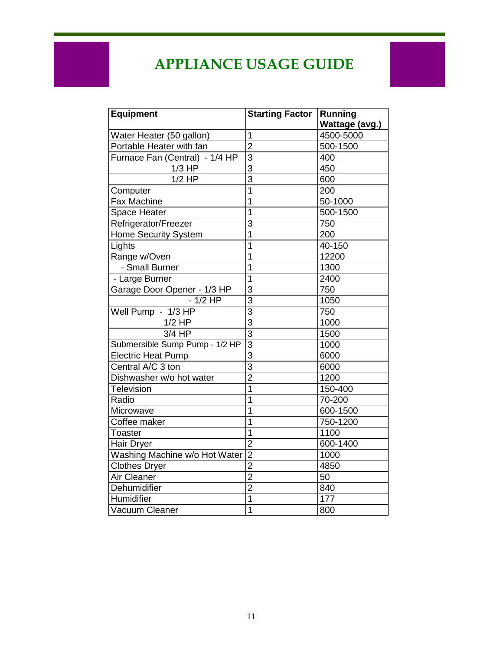## **APPLIANCE USAGE GUIDE**

| <b>Equipment</b>                                     | <b>Starting Factor</b> | Running<br>Wattage (avg.) |
|------------------------------------------------------|------------------------|---------------------------|
|                                                      | 1                      | 4500-5000                 |
| Water Heater (50 gallon)<br>Portable Heater with fan | $\overline{2}$         | 500-1500                  |
| Furnace Fan (Central) - 1/4 HP                       | 3                      | 400                       |
| $1/3$ HP                                             | $\overline{3}$         | 450                       |
| $1/2$ HP                                             | 3                      | 600                       |
|                                                      | $\overline{1}$         |                           |
| Computer                                             | $\overline{1}$         | 200                       |
| <b>Fax Machine</b>                                   |                        | 50-1000                   |
| Space Heater                                         | $\overline{1}$         | 500-1500                  |
| Refrigerator/Freezer                                 | 3                      | 750                       |
| <b>Home Security System</b>                          | $\overline{1}$         | 200                       |
| Lights                                               | $\overline{1}$         | 40-150                    |
| Range w/Oven                                         | $\overline{1}$         | 12200                     |
| - Small Burner                                       | $\overline{1}$         | 1300                      |
| - Large Burner                                       | $\mathbf{1}$           | 2400                      |
| Garage Door Opener - 1/3 HP                          | $\overline{3}$         | 750                       |
| $-1/2$ HP                                            | 3                      | 1050                      |
| Well Pump - 1/3 HP                                   | $\overline{3}$         | 750                       |
| $1/2$ HP                                             | $\overline{3}$         | 1000                      |
| 3/4 HP                                               | $\overline{3}$         | 1500                      |
| Submersible Sump Pump - 1/2 HP                       | $\overline{3}$         | 1000                      |
| <b>Electric Heat Pump</b>                            | $\overline{3}$         | 6000                      |
| Central A/C 3 ton                                    | 3                      | 6000                      |
| Dishwasher w/o hot water                             | $\overline{2}$         | 1200                      |
| <b>Television</b>                                    | $\overline{1}$         | 150-400                   |
| Radio                                                | $\overline{1}$         | 70-200                    |
| Microwave                                            | $\overline{1}$         | 600-1500                  |
| Coffee maker                                         | $\overline{1}$         | 750-1200                  |
| <b>Toaster</b>                                       | $\overline{1}$         | 1100                      |
| Hair Dryer                                           | $\overline{2}$         | 600-1400                  |
| Washing Machine w/o Hot Water                        | $\overline{2}$         | 1000                      |
| <b>Clothes Dryer</b>                                 | $\overline{2}$         | 4850                      |
| Air Cleaner                                          | $\overline{2}$         | 50                        |
| Dehumidifier                                         | $\overline{2}$         | 840                       |
| Humidifier                                           | $\overline{1}$         | 177                       |
| Vacuum Cleaner                                       | $\overline{1}$         | 800                       |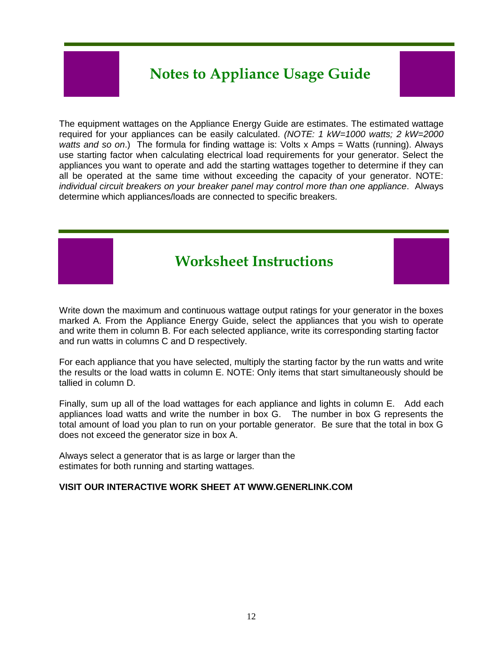## **Notes to Appliance Usage Guide**

The equipment wattages on the Appliance Energy Guide are estimates. The estimated wattage required for your appliances can be easily calculated. *(NOTE: 1 kW=1000 watts; 2 kW=2000 watts and so on*.) The formula for finding wattage is: Volts x Amps = Watts (running). Always use starting factor when calculating electrical load requirements for your generator. Select the appliances you want to operate and add the starting wattages together to determine if they can all be operated at the same time without exceeding the capacity of your generator. NOTE: *individual circuit breakers on your breaker panel may control more than one appliance*. Always determine which appliances/loads are connected to specific breakers.

# **Worksheet Instructions**

Write down the maximum and continuous wattage output ratings for your generator in the boxes marked A. From the Appliance Energy Guide, select the appliances that you wish to operate and write them in column B. For each selected appliance, write its corresponding starting factor and run watts in columns C and D respectively.

For each appliance that you have selected, multiply the starting factor by the run watts and write the results or the load watts in column E. NOTE: Only items that start simultaneously should be tallied in column D.

Finally, sum up all of the load wattages for each appliance and lights in column E. Add each appliances load watts and write the number in box G. The number in box G represents the total amount of load you plan to run on your portable generator. Be sure that the total in box G does not exceed the generator size in box A.

Always select a generator that is as large or larger than the estimates for both running and starting wattages.

#### **VISIT OUR INTERACTIVE WORK SHEET AT WWW.GENERLINK.COM**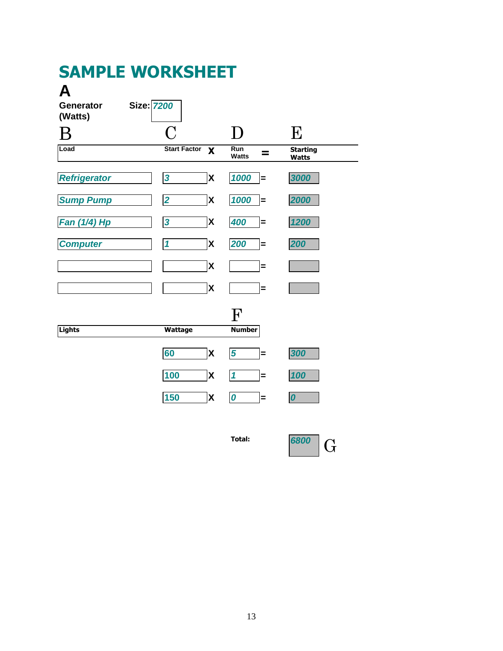## **SAMPLE WORKSHEET**

## **A**

| Size: 7200<br><b>Generator</b><br>(Watts) |                                                  |                                   |                                 |
|-------------------------------------------|--------------------------------------------------|-----------------------------------|---------------------------------|
|                                           | $\mathbf C$                                      | D                                 | E                               |
| Load                                      | <b>Start Factor</b><br>$\boldsymbol{\mathsf{X}}$ | <b>Run</b><br>=<br>Watts          | <b>Starting</b><br><b>Watts</b> |
| <b>Refrigerator</b>                       | $\overline{\mathbf{3}}$<br>X                     | 1000<br>$=$                       | 3000                            |
| <b>Sump Pump</b>                          | X<br>$\overline{\mathbf{2}}$                     | 1000<br>Ξ                         | 2000                            |
| Fan (1/4) Hp                              | $\overline{\mathbf{3}}$<br>X                     | 400<br>$=$                        | 1200                            |
| <b>Computer</b>                           | $\mathbf{1}$<br>X                                | 200<br>$=$                        | 200                             |
|                                           | X                                                | Ξ                                 |                                 |
|                                           | $\boldsymbol{\mathsf{X}}$                        | $=$                               |                                 |
|                                           |                                                  | F                                 |                                 |
| <b>Lights</b>                             | Wattage                                          | <b>Number</b>                     |                                 |
|                                           | 60<br>X                                          | $\overline{\mathbf{5}}$<br>$=$    | 300                             |
|                                           | 100<br>X                                         | $\boldsymbol{\mathcal{L}}$<br>$=$ | 100                             |
|                                           | 150<br>X                                         | $\boldsymbol{o}$<br>$=$           | $\boldsymbol{0}$                |

**Total:** *<sup>6800</sup>* G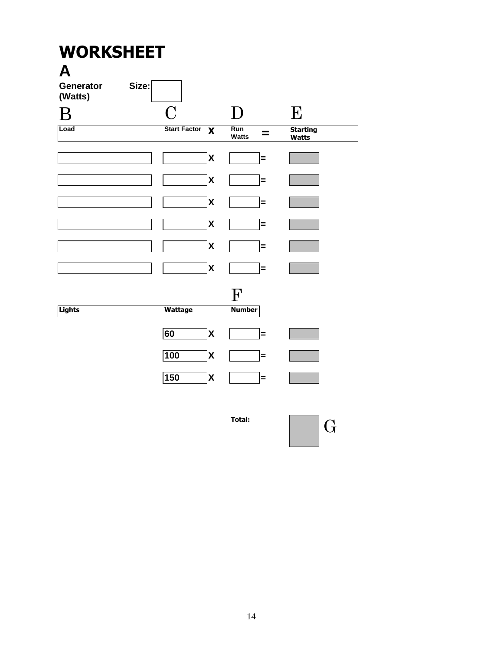## **WORKSHEET A Generator Size: (Watts)** B C D E **Load Start Factor X Watts = Starting Watts X = X = X = X = X = X =** F **Lights Wattage Number 60 X =**  $100$  **X**  $=$ **150 X =**

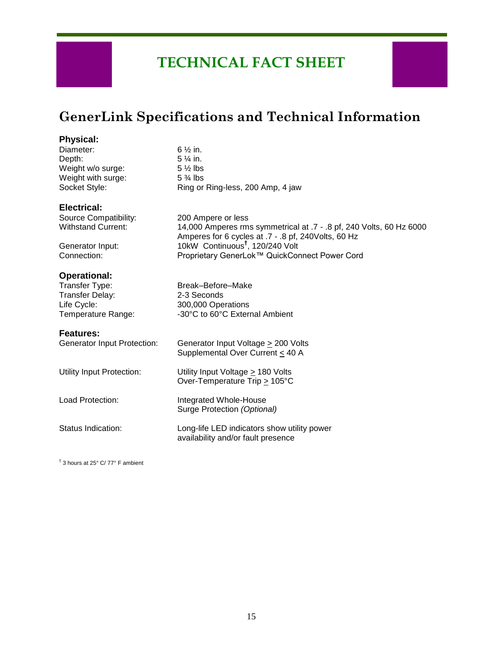## **TECHNICAL FACT SHEET**

### **GenerLink Specifications and Technical Information**

14,000 Amperes rms symmetrical at .7 - .8 pf, 240 Volts, 60 Hz 6000

Amperes for 6 cycles at .7 - .8 pf, 240Volts, 60 Hz

#### **Physical:**

| Diameter:          | $6\frac{1}{2}$ in.                |
|--------------------|-----------------------------------|
| Depth:             | $5\frac{1}{4}$ in.                |
| Weight w/o surge:  | $5\frac{1}{2}$ lbs                |
| Weight with surge: | $5\frac{3}{4}$ lbs                |
| Socket Style:      | Ring or Ring-less, 200 Amp, 4 jaw |
|                    |                                   |

#### **Electrical:**

Source Compatibility: 200 Ampere or less<br>Withstand Current: 14,000 Amperes rm

Generator Input: 10kW Continuous**†** , 120/240 Volt Connection: Proprietary GenerLok™ QuickConnect Power Cord

## **Operational:**<br>Transfer Type:

Transfer Delay: 2-3 Seconds Life Cycle: 300,000 Operations<br>Temperature Range: 30°C to 60°C Extern

#### **Features:**

| <b>Generator Input Protection:</b> | Generator Input Voltage > 200 Volts<br>Supplemental Over Current < 40 A           |
|------------------------------------|-----------------------------------------------------------------------------------|
| Utility Input Protection:          | Utility Input Voltage > 180 Volts<br>Over-Temperature Trip > 105°C                |
| Load Protection:                   | Integrated Whole-House<br>Surge Protection (Optional)                             |
| Status Indication:                 | Long-life LED indicators show utility power<br>availability and/or fault presence |

Break–Before–Make

-30°C to 60°C External Ambient

† 3 hours at 25° C/ 77° F ambient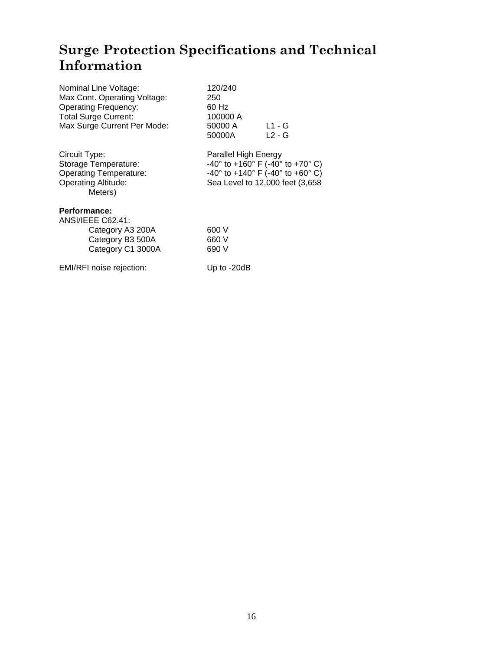## **Surge Protection Specifications and Technical Information**

| Nominal Line Voltage:<br>Max Cont. Operating Voltage:<br><b>Operating Frequency:</b><br><b>Total Surge Current:</b><br>Max Surge Current Per Mode: | 120/240<br>250<br>60 Hz<br>100000 A<br>50000 A<br>50000A | L1 - G<br>$L2 - G$                                                                                                                                                                |
|----------------------------------------------------------------------------------------------------------------------------------------------------|----------------------------------------------------------|-----------------------------------------------------------------------------------------------------------------------------------------------------------------------------------|
| Circuit Type:<br>Storage Temperature:<br><b>Operating Temperature:</b><br><b>Operating Altitude:</b><br>Meters)                                    | Parallel High Energy                                     | $-40^{\circ}$ to $+160^{\circ}$ F ( $-40^{\circ}$ to $+70^{\circ}$ C)<br>$-40^{\circ}$ to $+140^{\circ}$ F ( $-40^{\circ}$ to $+60^{\circ}$ C)<br>Sea Level to 12,000 feet (3,658 |
| Performance:<br><b>ANSI/IEEE C62.41:</b><br>Category A3 200A<br>Category B3 500A<br>Category C1 3000A                                              | 600 V<br>660 V<br>690 V                                  |                                                                                                                                                                                   |

EMI/RFI noise rejection: Up to -20dB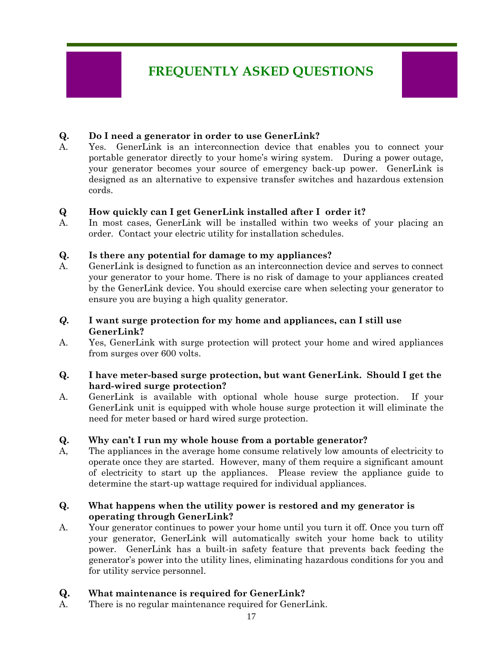## **FREQUENTLY ASKED QUESTIONS**

#### **Q. Do I need a generator in order to use GenerLink?**

A. Yes. GenerLink is an interconnection device that enables you to connect your portable generator directly to your home's wiring system. During a power outage, your generator becomes your source of emergency back-up power. GenerLink is designed as an alternative to expensive transfer switches and hazardous extension cords.

#### **Q How quickly can I get GenerLink installed after I order it?**

A. In most cases, GenerLink will be installed within two weeks of your placing an order. Contact your electric utility for installation schedules.

#### **Q. Is there any potential for damage to my appliances?**

A. GenerLink is designed to function as an interconnection device and serves to connect your generator to your home. There is no risk of damage to your appliances created by the GenerLink device. You should exercise care when selecting your generator to ensure you are buying a high quality generator.

#### *Q.* **I want surge protection for my home and appliances, can I still use GenerLink?**

A. Yes, GenerLink with surge protection will protect your home and wired appliances from surges over 600 volts.

#### **Q. I have meter-based surge protection, but want GenerLink. Should I get the hard-wired surge protection?**

A. GenerLink is available with optional whole house surge protection. If your GenerLink unit is equipped with whole house surge protection it will eliminate the need for meter based or hard wired surge protection.

#### **Q. Why can't I run my whole house from a portable generator?**

A, The appliances in the average home consume relatively low amounts of electricity to operate once they are started. However, many of them require a significant amount of electricity to start up the appliances. Please review the appliance guide to determine the start-up wattage required for individual appliances.

#### **Q. What happens when the utility power is restored and my generator is operating through GenerLink?**

A. Your generator continues to power your home until you turn it off. Once you turn off your generator, GenerLink will automatically switch your home back to utility power. GenerLink has a built-in safety feature that prevents back feeding the generator's power into the utility lines, eliminating hazardous conditions for you and for utility service personnel.

#### **Q. What maintenance is required for GenerLink?**

A. There is no regular maintenance required for GenerLink.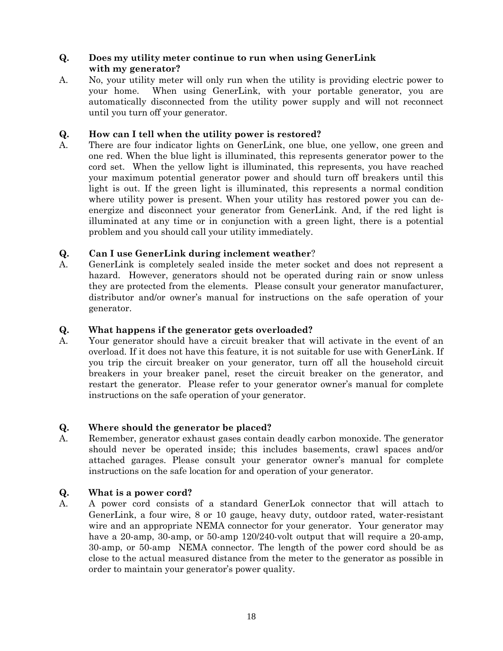#### **Q. Does my utility meter continue to run when using GenerLink with my generator?**

A. No, your utility meter will only run when the utility is providing electric power to your home. When using GenerLink, with your portable generator, you are automatically disconnected from the utility power supply and will not reconnect until you turn off your generator.

#### **Q. How can I tell when the utility power is restored?**

A. There are four indicator lights on GenerLink, one blue, one yellow, one green and one red. When the blue light is illuminated, this represents generator power to the cord set. When the yellow light is illuminated, this represents, you have reached your maximum potential generator power and should turn off breakers until this light is out. If the green light is illuminated, this represents a normal condition where utility power is present. When your utility has restored power you can deenergize and disconnect your generator from GenerLink. And, if the red light is illuminated at any time or in conjunction with a green light, there is a potential problem and you should call your utility immediately.

#### **Q. Can I use GenerLink during inclement weather**?

A. GenerLink is completely sealed inside the meter socket and does not represent a hazard. However, generators should not be operated during rain or snow unless they are protected from the elements. Please consult your generator manufacturer, distributor and/or owner's manual for instructions on the safe operation of your generator.

#### **Q. What happens if the generator gets overloaded?**

A. Your generator should have a circuit breaker that will activate in the event of an overload. If it does not have this feature, it is not suitable for use with GenerLink. If you trip the circuit breaker on your generator, turn off all the household circuit breakers in your breaker panel, reset the circuit breaker on the generator, and restart the generator. Please refer to your generator owner's manual for complete instructions on the safe operation of your generator.

#### **Q. Where should the generator be placed?**

A. Remember, generator exhaust gases contain deadly carbon monoxide. The generator should never be operated inside; this includes basements, crawl spaces and/or attached garages. Please consult your generator owner's manual for complete instructions on the safe location for and operation of your generator.

#### **Q. What is a power cord?**

A. A power cord consists of a standard GenerLok connector that will attach to GenerLink, a four wire, 8 or 10 gauge, heavy duty, outdoor rated, water-resistant wire and an appropriate NEMA connector for your generator. Your generator may have a 20-amp, 30-amp, or 50-amp 120/240-volt output that will require a 20-amp, 30-amp, or 50-amp NEMA connector. The length of the power cord should be as close to the actual measured distance from the meter to the generator as possible in order to maintain your generator's power quality.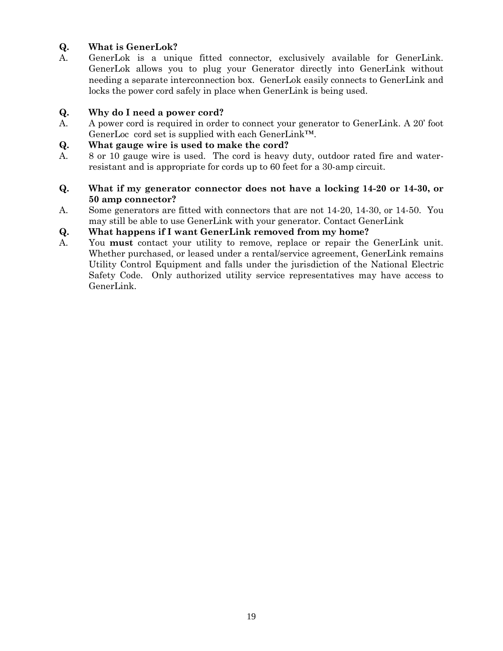#### **Q. What is GenerLok?**

A. GenerLok is a unique fitted connector, exclusively available for GenerLink. GenerLok allows you to plug your Generator directly into GenerLink without needing a separate interconnection box. GenerLok easily connects to GenerLink and locks the power cord safely in place when GenerLink is being used.

#### **Q. Why do I need a power cord?**

A. A power cord is required in order to connect your generator to GenerLink. A 20' foot GenerLoc cord set is supplied with each GenerLink™.

#### **Q. What gauge wire is used to make the cord?**

A. 8 or 10 gauge wire is used. The cord is heavy duty, outdoor rated fire and waterresistant and is appropriate for cords up to 60 feet for a 30-amp circuit.

#### **Q. What if my generator connector does not have a locking 14-20 or 14-30, or 50 amp connector?**

A. Some generators are fitted with connectors that are not 14-20, 14-30, or 14-50. You may still be able to use GenerLink with your generator. Contact GenerLink

#### **Q. What happens if I want GenerLink removed from my home?**

A. You **must** contact your utility to remove, replace or repair the GenerLink unit. Whether purchased, or leased under a rental/service agreement, GenerLink remains Utility Control Equipment and falls under the jurisdiction of the National Electric Safety Code. Only authorized utility service representatives may have access to GenerLink.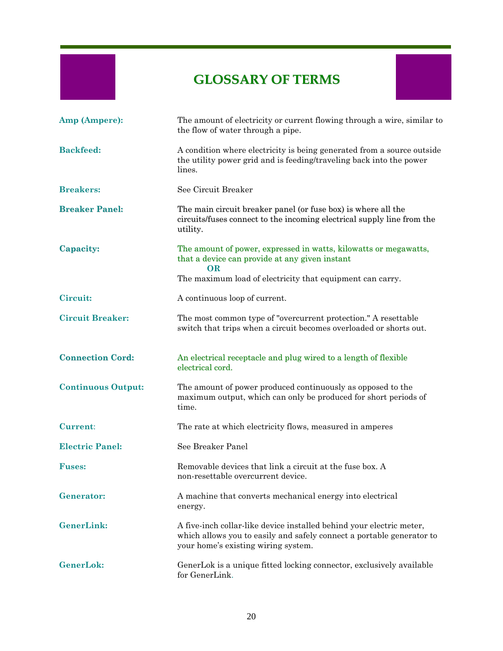## **GLOSSARY OF TERMS**

| Amp (Ampere):             | The amount of electricity or current flowing through a wire, similar to<br>the flow of water through a pipe.                                                                         |
|---------------------------|--------------------------------------------------------------------------------------------------------------------------------------------------------------------------------------|
| <b>Backfeed:</b>          | A condition where electricity is being generated from a source outside<br>the utility power grid and is feeding/traveling back into the power<br>lines.                              |
| <b>Breakers:</b>          | See Circuit Breaker                                                                                                                                                                  |
| <b>Breaker Panel:</b>     | The main circuit breaker panel (or fuse box) is where all the<br>circuits/fuses connect to the incoming electrical supply line from the<br>utility.                                  |
| Capacity:                 | The amount of power, expressed in watts, kilowatts or megawatts,<br>that a device can provide at any given instant<br><b>OR</b>                                                      |
|                           | The maximum load of electricity that equipment can carry.                                                                                                                            |
| Circuit:                  | A continuous loop of current.                                                                                                                                                        |
| <b>Circuit Breaker:</b>   | The most common type of "overcurrent protection." A resettable<br>switch that trips when a circuit becomes overloaded or shorts out.                                                 |
| <b>Connection Cord:</b>   | An electrical receptacle and plug wired to a length of flexible<br>electrical cord.                                                                                                  |
| <b>Continuous Output:</b> | The amount of power produced continuously as opposed to the<br>maximum output, which can only be produced for short periods of<br>time.                                              |
| <b>Current:</b>           | The rate at which electricity flows, measured in amperes                                                                                                                             |
| <b>Electric Panel:</b>    | See Breaker Panel                                                                                                                                                                    |
| <b>Fuses:</b>             | Removable devices that link a circuit at the fuse box. A<br>non-resettable overcurrent device.                                                                                       |
| <b>Generator:</b>         | A machine that converts mechanical energy into electrical<br>energy.                                                                                                                 |
| <b>GenerLink:</b>         | A five-inch collar-like device installed behind your electric meter,<br>which allows you to easily and safely connect a portable generator to<br>your home's existing wiring system. |
| <b>GenerLok:</b>          | GenerLok is a unique fitted locking connector, exclusively available<br>for GenerLink.                                                                                               |